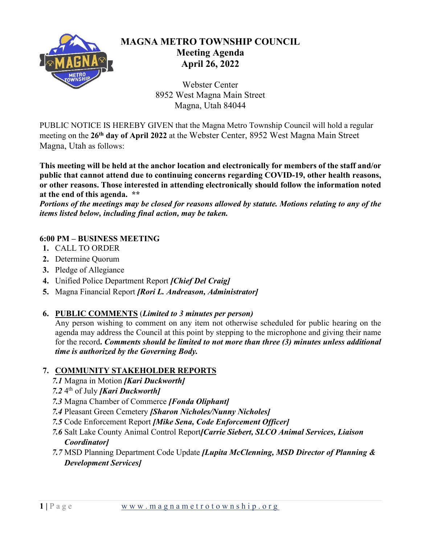

# **MAGNA METRO TOWNSHIP COUNCIL Meeting Agenda April 26, 2022**

Webster Center 8952 West Magna Main Street Magna, Utah 84044

PUBLIC NOTICE IS HEREBY GIVEN that the Magna Metro Township Council will hold a regular meeting on the **26th day of April 2022** at the Webster Center, 8952 West Magna Main Street Magna, Utah as follows:

**This meeting will be held at the anchor location and electronically for members of the staff and/or public that cannot attend due to continuing concerns regarding COVID-19, other health reasons, or other reasons. Those interested in attending electronically should follow the information noted at the end of this agenda. \*\*** 

*Portions of the meetings may be closed for reasons allowed by statute. Motions relating to any of the items listed below, including final action, may be taken.*

### **6:00 PM – BUSINESS MEETING**

- **1.** CALL TO ORDER
- **2.** Determine Quorum
- **3.** Pledge of Allegiance
- **4.** Unified Police Department Report *[Chief Del Craig]*
- **5.** Magna Financial Report *[Rori L. Andreason, Administrator]*
- **6. PUBLIC COMMENTS** (*Limited to 3 minutes per person)*

Any person wishing to comment on any item not otherwise scheduled for public hearing on the agenda may address the Council at this point by stepping to the microphone and giving their name for the record**.** *Comments should be limited to not more than three (3) minutes unless additional time is authorized by the Governing Body.* 

#### **7. COMMUNITY STAKEHOLDER REPORTS**

- *7.1* Magna in Motion *[Kari Duckworth]*
- *7.2* 4th of July *[Kari Duckworth]*
- *7.3* Magna Chamber of Commerce *[Fonda Oliphant]*
- *7.4* Pleasant Green Cemetery *[Sharon Nicholes/Nunny Nicholes]*
- *7.5* Code Enforcement Report *[Mike Sena, Code Enforcement Officer]*
- *7.6* Salt Lake County Animal Control Report*[Carrie Siebert, SLCO Animal Services, Liaison Coordinator]*
- *7.7* MSD Planning Department Code Update *[Lupita McClenning, MSD Director of Planning & Development Services]*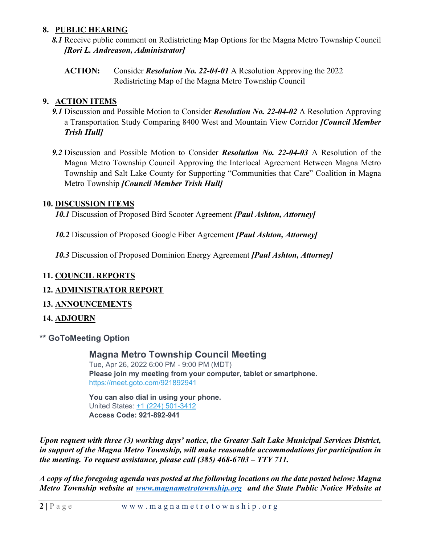#### **8. PUBLIC HEARING**

- *8.1* Receive public comment on Redistricting Map Options for the Magna Metro Township Council *[Rori L. Andreason, Administrator]*
	- **ACTION:** Consider *Resolution No. 22-04-01* A Resolution Approving the 2022 Redistricting Map of the Magna Metro Township Council

# **9. ACTION ITEMS**

- *9.1* Discussion and Possible Motion to Consider *Resolution No. 22-04-02* A Resolution Approving a Transportation Study Comparing 8400 West and Mountain View Corridor *[Council Member Trish Hull]*
- *9.2* Discussion and Possible Motion to Consider *Resolution No. 22-04-03* A Resolution of the Magna Metro Township Council Approving the Interlocal Agreement Between Magna Metro Township and Salt Lake County for Supporting "Communities that Care" Coalition in Magna Metro Township *[Council Member Trish Hull]*

### **10. DISCUSSION ITEMS**

*10.1* Discussion of Proposed Bird Scooter Agreement *[Paul Ashton, Attorney]*

*10.2* Discussion of Proposed Google Fiber Agreement *[Paul Ashton, Attorney]* 

*10.3* Discussion of Proposed Dominion Energy Agreement *[Paul Ashton, Attorney]* 

# **11. COUNCIL REPORTS**

# **12. ADMINISTRATOR REPORT**

- **13. ANNOUNCEMENTS**
- **14. ADJOURN**
- **\*\* GoToMeeting Option**

**Magna Metro Township Council Meeting**

Tue, Apr 26, 2022 6:00 PM - 9:00 PM (MDT) **Please join my meeting from your computer, tablet or smartphone.** <https://meet.goto.com/921892941>

**You can also dial in using your phone.** United States: [+1 \(224\) 501-3412](tel:+12245013412,,921892941%23)  **Access Code: 921-892-941**

*Upon request with three (3) working days' notice, the Greater Salt Lake Municipal Services District, in support of the Magna Metro Township, will make reasonable accommodations for participation in the meeting. To request assistance, please call (385) 468-6703 – TTY 711.*

*A copy of the foregoing agenda was posted at the following locations on the date posted below: Magna Metro Township website at [www.magnametrotownship.org](http://www.magnametrotownship.org/) and the State Public Notice Website at*